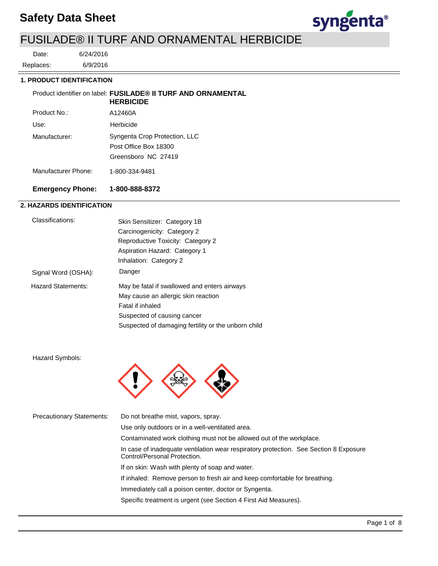

6/24/2016 Date:

6/9/2016 Replaces:

### **1. PRODUCT IDENTIFICATION**

A12460A Use: Herbicide Product identifier on label: **FUSILADE® II TURF AND ORNAMENTAL HERBICIDE** Manufacturer: Syngenta Crop Protection, LLC Post Office Box 18300 Greensboro NC 27419 Manufacturer Phone: 1-800-334-9481 **Emergency Phone: 1-800-888-8372** Product No.:

## **2. HAZARDS IDENTIFICATION**

| Classifications:          | Skin Sensitizer: Category 1B<br>Carcinogenicity: Category 2<br>Reproductive Toxicity: Category 2<br>Aspiration Hazard: Category 1                                                             |
|---------------------------|-----------------------------------------------------------------------------------------------------------------------------------------------------------------------------------------------|
|                           | Inhalation: Category 2                                                                                                                                                                        |
| Signal Word (OSHA):       | Danger                                                                                                                                                                                        |
| <b>Hazard Statements:</b> | May be fatal if swallowed and enters airways<br>May cause an allergic skin reaction<br>Fatal if inhaled<br>Suspected of causing cancer<br>Suspected of damaging fertility or the unborn child |

Hazard Symbols:



| <b>Precautionary Statements:</b> | Do not breathe mist, vapors, spray.                                                                                   |
|----------------------------------|-----------------------------------------------------------------------------------------------------------------------|
|                                  | Use only outdoors or in a well-ventilated area.                                                                       |
|                                  | Contaminated work clothing must not be allowed out of the workplace.                                                  |
|                                  | In case of inadequate ventilation wear respiratory protection. See Section 8 Exposure<br>Control/Personal Protection. |
|                                  | If on skin: Wash with plenty of soap and water.                                                                       |
|                                  | If inhaled: Remove person to fresh air and keep comfortable for breathing.                                            |
|                                  | Immediately call a poison center, doctor or Syngenta.                                                                 |
|                                  | Specific treatment is urgent (see Section 4 First Aid Measures).                                                      |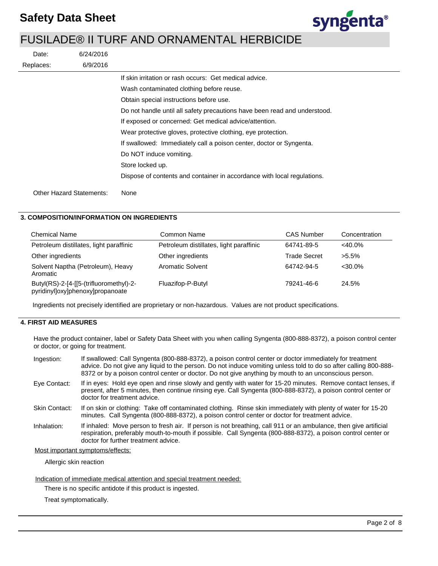

| Date:                           | 6/24/2016 |                                                                           |
|---------------------------------|-----------|---------------------------------------------------------------------------|
| Replaces:                       | 6/9/2016  |                                                                           |
|                                 |           | If skin irritation or rash occurs: Get medical advice.                    |
|                                 |           | Wash contaminated clothing before reuse.                                  |
|                                 |           | Obtain special instructions before use.                                   |
|                                 |           | Do not handle until all safety precautions have been read and understood. |
|                                 |           | If exposed or concerned: Get medical advice/attention.                    |
|                                 |           | Wear protective gloves, protective clothing, eye protection.              |
|                                 |           | If swallowed: Immediately call a poison center, doctor or Syngenta.       |
|                                 |           | Do NOT induce vomiting.                                                   |
|                                 |           | Store locked up.                                                          |
|                                 |           | Dispose of contents and container in accordance with local regulations.   |
| <b>Other Hazard Statements:</b> | None      |                                                                           |

## **3. COMPOSITION/INFORMATION ON INGREDIENTS**

| <b>Chemical Name</b>                                                        | Common Name                             | <b>CAS Number</b>   | Concentration |
|-----------------------------------------------------------------------------|-----------------------------------------|---------------------|---------------|
| Petroleum distillates, light paraffinic                                     | Petroleum distillates, light paraffinic | 64741-89-5          | $<40.0\%$     |
| Other ingredients                                                           | Other ingredients                       | <b>Trade Secret</b> | $>5.5\%$      |
| Solvent Naptha (Petroleum), Heavy<br>Aromatic                               | Aromatic Solvent                        | 64742-94-5          | $<30.0\%$     |
| Butyl(RS)-2-[4-[[5-(trifluoromethyl)-2-<br>pyridinyl]oxy]phenoxy]propanoate | Fluazifop-P-Butyl                       | 79241-46-6          | 24.5%         |

Ingredients not precisely identified are proprietary or non-hazardous. Values are not product specifications.

## **4. FIRST AID MEASURES**

Have the product container, label or Safety Data Sheet with you when calling Syngenta (800-888-8372), a poison control center or doctor, or going for treatment.

| Ingestion:           | If swallowed: Call Syngenta (800-888-8372), a poison control center or doctor immediately for treatment<br>advice. Do not give any liquid to the person. Do not induce vomiting unless told to do so after calling 800-888-<br>8372 or by a poison control center or doctor. Do not give anything by mouth to an unconscious person. |
|----------------------|--------------------------------------------------------------------------------------------------------------------------------------------------------------------------------------------------------------------------------------------------------------------------------------------------------------------------------------|
| Eye Contact:         | If in eyes: Hold eye open and rinse slowly and gently with water for 15-20 minutes. Remove contact lenses, if<br>present, after 5 minutes, then continue rinsing eye. Call Syngenta (800-888-8372), a poison control center or<br>doctor for treatment advice.                                                                       |
| <b>Skin Contact:</b> | If on skin or clothing: Take off contaminated clothing. Rinse skin immediately with plenty of water for 15-20<br>minutes. Call Syngenta (800-888-8372), a poison control center or doctor for treatment advice.                                                                                                                      |
| Inhalation:          | If inhaled: Move person to fresh air. If person is not breathing, call 911 or an ambulance, then give artificial<br>respiration, preferably mouth-to-mouth if possible. Call Syngenta (800-888-8372), a poison control center or<br>doctor for further treatment advice.                                                             |
|                      |                                                                                                                                                                                                                                                                                                                                      |

Most important symptoms/effects:

Allergic skin reaction

Indication of immediate medical attention and special treatment needed:

There is no specific antidote if this product is ingested.

Treat symptomatically.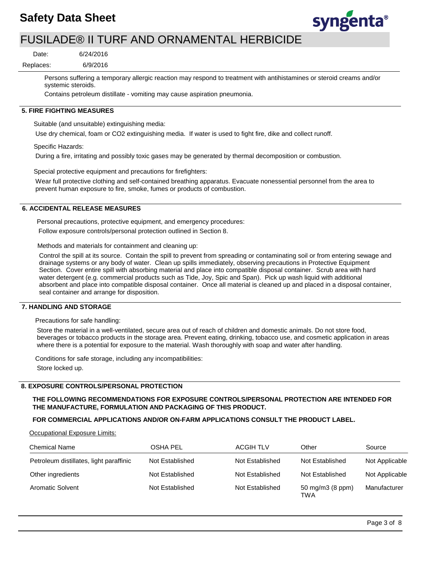

Date:

6/9/2016 Replaces:

> Persons suffering a temporary allergic reaction may respond to treatment with antihistamines or steroid creams and/or systemic steroids.

Contains petroleum distillate - vomiting may cause aspiration pneumonia.

### **5. FIRE FIGHTING MEASURES**

Suitable (and unsuitable) extinguishing media:

6/24/2016

Use dry chemical, foam or CO2 extinguishing media. If water is used to fight fire, dike and collect runoff.

Specific Hazards:

During a fire, irritating and possibly toxic gases may be generated by thermal decomposition or combustion.

Special protective equipment and precautions for firefighters:

Wear full protective clothing and self-contained breathing apparatus. Evacuate nonessential personnel from the area to prevent human exposure to fire, smoke, fumes or products of combustion.

#### **6. ACCIDENTAL RELEASE MEASURES**

Personal precautions, protective equipment, and emergency procedures: Follow exposure controls/personal protection outlined in Section 8.

Methods and materials for containment and cleaning up:

Control the spill at its source. Contain the spill to prevent from spreading or contaminating soil or from entering sewage and drainage systems or any body of water. Clean up spills immediately, observing precautions in Protective Equipment Section. Cover entire spill with absorbing material and place into compatible disposal container. Scrub area with hard water detergent (e.g. commercial products such as Tide, Joy, Spic and Span). Pick up wash liquid with additional absorbent and place into compatible disposal container. Once all material is cleaned up and placed in a disposal container, seal container and arrange for disposition.

#### **7. HANDLING AND STORAGE**

Precautions for safe handling:

Store the material in a well-ventilated, secure area out of reach of children and domestic animals. Do not store food, beverages or tobacco products in the storage area. Prevent eating, drinking, tobacco use, and cosmetic application in areas where there is a potential for exposure to the material. Wash thoroughly with soap and water after handling.

Conditions for safe storage, including any incompatibilities: Store locked up.

### **8. EXPOSURE CONTROLS/PERSONAL PROTECTION**

**THE FOLLOWING RECOMMENDATIONS FOR EXPOSURE CONTROLS/PERSONAL PROTECTION ARE INTENDED FOR THE MANUFACTURE, FORMULATION AND PACKAGING OF THIS PRODUCT.** 

### **FOR COMMERCIAL APPLICATIONS AND/OR ON-FARM APPLICATIONS CONSULT THE PRODUCT LABEL.**

Occupational Exposure Limits:

| <b>Chemical Name</b>                    | OSHA PEL        | <b>ACGIH TLV</b> | Other                   | Source         |
|-----------------------------------------|-----------------|------------------|-------------------------|----------------|
| Petroleum distillates, light paraffinic | Not Established | Not Established  | Not Established         | Not Applicable |
| Other ingredients                       | Not Established | Not Established  | Not Established         | Not Applicable |
| <b>Aromatic Solvent</b>                 | Not Established | Not Established  | 50 mg/m3 (8 ppm)<br>TWA | Manufacturer   |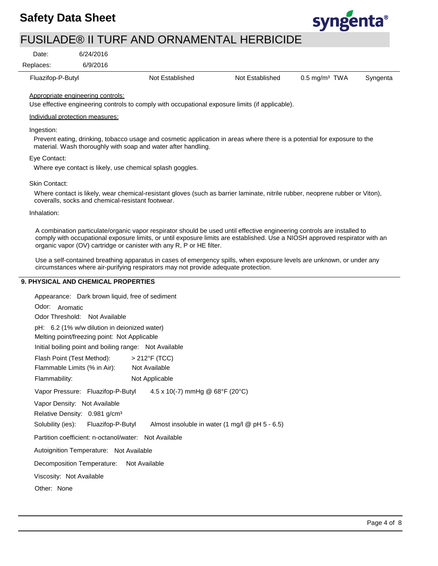

|                   |                                                                                                                                                                                                                                                                                                                                | <u>UUILADLWII TUNI AND UNIVAIILIVIAL HEINDIUIDE</u>                                                                                                                                                         |                                                 |                             |          |
|-------------------|--------------------------------------------------------------------------------------------------------------------------------------------------------------------------------------------------------------------------------------------------------------------------------------------------------------------------------|-------------------------------------------------------------------------------------------------------------------------------------------------------------------------------------------------------------|-------------------------------------------------|-----------------------------|----------|
| Date:             | 6/24/2016                                                                                                                                                                                                                                                                                                                      |                                                                                                                                                                                                             |                                                 |                             |          |
| Replaces:         | 6/9/2016                                                                                                                                                                                                                                                                                                                       |                                                                                                                                                                                                             |                                                 |                             |          |
| Fluazifop-P-Butyl |                                                                                                                                                                                                                                                                                                                                | Not Established                                                                                                                                                                                             | Not Established                                 | $0.5$ mg/m <sup>3</sup> TWA | Syngenta |
|                   | Appropriate engineering controls:                                                                                                                                                                                                                                                                                              | Use effective engineering controls to comply with occupational exposure limits (if applicable).                                                                                                             |                                                 |                             |          |
|                   | Individual protection measures:                                                                                                                                                                                                                                                                                                |                                                                                                                                                                                                             |                                                 |                             |          |
| Ingestion:        | Prevent eating, drinking, tobacco usage and cosmetic application in areas where there is a potential for exposure to the<br>material. Wash thoroughly with soap and water after handling.                                                                                                                                      |                                                                                                                                                                                                             |                                                 |                             |          |
| Eye Contact:      |                                                                                                                                                                                                                                                                                                                                |                                                                                                                                                                                                             |                                                 |                             |          |
|                   |                                                                                                                                                                                                                                                                                                                                | Where eye contact is likely, use chemical splash goggles.                                                                                                                                                   |                                                 |                             |          |
| Skin Contact:     |                                                                                                                                                                                                                                                                                                                                |                                                                                                                                                                                                             |                                                 |                             |          |
|                   | coveralls, socks and chemical-resistant footwear.                                                                                                                                                                                                                                                                              | Where contact is likely, wear chemical-resistant gloves (such as barrier laminate, nitrile rubber, neoprene rubber or Viton),                                                                               |                                                 |                             |          |
| Inhalation:       |                                                                                                                                                                                                                                                                                                                                |                                                                                                                                                                                                             |                                                 |                             |          |
|                   | A combination particulate/organic vapor respirator should be used until effective engineering controls are installed to<br>comply with occupational exposure limits, or until exposure limits are established. Use a NIOSH approved respirator with an<br>organic vapor (OV) cartridge or canister with any R, P or HE filter. |                                                                                                                                                                                                             |                                                 |                             |          |
|                   |                                                                                                                                                                                                                                                                                                                                | Use a self-contained breathing apparatus in cases of emergency spills, when exposure levels are unknown, or under any<br>circumstances where air-purifying respirators may not provide adequate protection. |                                                 |                             |          |
|                   | 9. PHYSICAL AND CHEMICAL PROPERTIES                                                                                                                                                                                                                                                                                            |                                                                                                                                                                                                             |                                                 |                             |          |
|                   | Appearance: Dark brown liquid, free of sediment                                                                                                                                                                                                                                                                                |                                                                                                                                                                                                             |                                                 |                             |          |
| Odor: Aromatic    |                                                                                                                                                                                                                                                                                                                                |                                                                                                                                                                                                             |                                                 |                             |          |
|                   | Odor Threshold: Not Available                                                                                                                                                                                                                                                                                                  |                                                                                                                                                                                                             |                                                 |                             |          |
|                   | pH: 6.2 (1% w/w dilution in deionized water)<br>Melting point/freezing point: Not Applicable                                                                                                                                                                                                                                   |                                                                                                                                                                                                             |                                                 |                             |          |
|                   | Initial boiling point and boiling range: Not Available                                                                                                                                                                                                                                                                         |                                                                                                                                                                                                             |                                                 |                             |          |
|                   | Flash Point (Test Method):                                                                                                                                                                                                                                                                                                     | > 212°F (TCC)                                                                                                                                                                                               |                                                 |                             |          |
|                   | Flammable Limits (% in Air):                                                                                                                                                                                                                                                                                                   | Not Available                                                                                                                                                                                               |                                                 |                             |          |
| Flammability:     |                                                                                                                                                                                                                                                                                                                                | Not Applicable                                                                                                                                                                                              |                                                 |                             |          |
|                   | Vapor Pressure: Fluazifop-P-Butyl                                                                                                                                                                                                                                                                                              | 4.5 x 10(-7) mmHg @ $68^{\circ}F$ (20 $^{\circ}C$ )                                                                                                                                                         |                                                 |                             |          |
|                   | Vapor Density: Not Available                                                                                                                                                                                                                                                                                                   |                                                                                                                                                                                                             |                                                 |                             |          |
|                   | Relative Density: 0.981 g/cm <sup>3</sup>                                                                                                                                                                                                                                                                                      |                                                                                                                                                                                                             |                                                 |                             |          |
| Solubility (ies): | Fluazifop-P-Butyl                                                                                                                                                                                                                                                                                                              |                                                                                                                                                                                                             | Almost insoluble in water (1 mg/l @ pH 5 - 6.5) |                             |          |
|                   | Partition coefficient: n-octanol/water: Not Available                                                                                                                                                                                                                                                                          |                                                                                                                                                                                                             |                                                 |                             |          |
|                   | Autoignition Temperature: Not Available                                                                                                                                                                                                                                                                                        |                                                                                                                                                                                                             |                                                 |                             |          |
|                   | Decomposition Temperature:                                                                                                                                                                                                                                                                                                     | Not Available                                                                                                                                                                                               |                                                 |                             |          |
|                   | Viscosity: Not Available                                                                                                                                                                                                                                                                                                       |                                                                                                                                                                                                             |                                                 |                             |          |
| Other: None       |                                                                                                                                                                                                                                                                                                                                |                                                                                                                                                                                                             |                                                 |                             |          |
|                   |                                                                                                                                                                                                                                                                                                                                |                                                                                                                                                                                                             |                                                 |                             |          |
|                   |                                                                                                                                                                                                                                                                                                                                |                                                                                                                                                                                                             |                                                 |                             |          |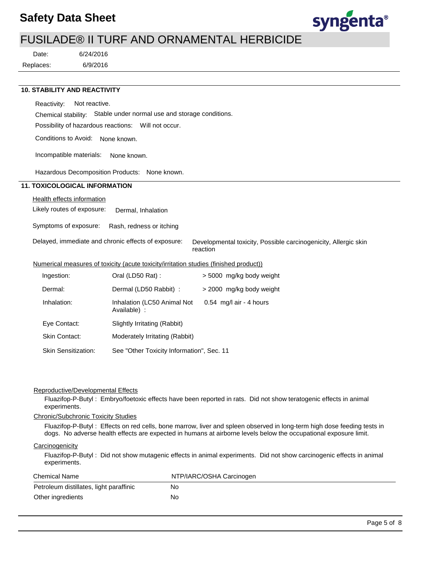## **Safety Data Sheet**



Replaces: Date:

6/9/2016 6/24/2016

#### **10. STABILITY AND REACTIVITY**

Reactivity: Not reactive.

Chemical stability: Stable under normal use and storage conditions.

Possibility of hazardous reactions: Will not occur.

Conditions to Avoid: None known.

Incompatible materials: None known.

Hazardous Decomposition Products: None known.

### **11. TOXICOLOGICAL INFORMATION**

## Health effects information

Likely routes of exposure: Dermal, Inhalation

Symptoms of exposure: Rash, redness or itching

Delayed, immediate and chronic effects of exposure:

Developmental toxicity, Possible carcinogenicity, Allergic skin reaction

syngenta®

#### Numerical measures of toxicity (acute toxicity/irritation studies (finished product))

| Ingestion:                 | Oral (LD50 Rat):                           | > 5000 mg/kg body weight  |
|----------------------------|--------------------------------------------|---------------------------|
| Dermal:                    | Dermal (LD50 Rabbit) :                     | > 2000 mg/kg body weight  |
| Inhalation:                | Inhalation (LC50 Animal Not<br>Available): | $0.54$ mg/l air - 4 hours |
| Eye Contact:               | Slightly Irritating (Rabbit)               |                           |
| <b>Skin Contact:</b>       | Moderately Irritating (Rabbit)             |                           |
| <b>Skin Sensitization:</b> | See "Other Toxicity Information", Sec. 11  |                           |

#### Reproductive/Developmental Effects

Fluazifop-P-Butyl : Embryo/foetoxic effects have been reported in rats. Did not show teratogenic effects in animal experiments.

#### Chronic/Subchronic Toxicity Studies

Fluazifop-P-Butyl : Effects on red cells, bone marrow, liver and spleen observed in long-term high dose feeding tests in dogs. No adverse health effects are expected in humans at airborne levels below the occupational exposure limit.

#### **Carcinogenicity**

Fluazifop-P-Butyl : Did not show mutagenic effects in animal experiments. Did not show carcinogenic effects in animal experiments.

| <b>Chemical Name</b>                    | NTP/IARC/OSHA Carcinogen |
|-----------------------------------------|--------------------------|
| Petroleum distillates, light paraffinic | No                       |
| Other ingredients                       | No                       |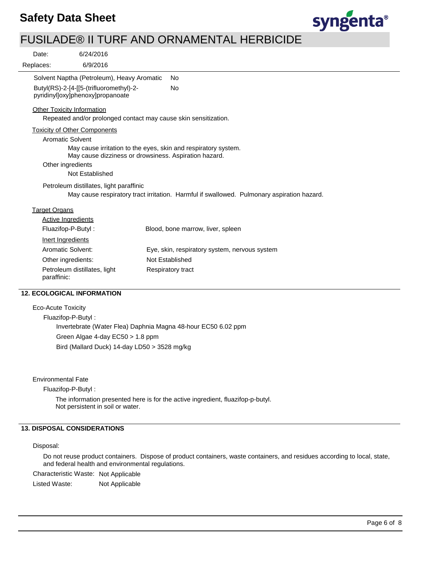

| 6/24/2016<br>Date:                                                                                                      |                                                                                            |  |
|-------------------------------------------------------------------------------------------------------------------------|--------------------------------------------------------------------------------------------|--|
| 6/9/2016<br>Replaces:                                                                                                   |                                                                                            |  |
| Solvent Naptha (Petroleum), Heavy Aromatic                                                                              | No.                                                                                        |  |
| Butyl(RS)-2-[4-[[5-(trifluoromethyl)-2-<br>pyridinyl]oxy]phenoxy]propanoate                                             | <b>No</b>                                                                                  |  |
| <b>Other Toxicity Information</b><br>Repeated and/or prolonged contact may cause skin sensitization.                    |                                                                                            |  |
| <b>Toxicity of Other Components</b>                                                                                     |                                                                                            |  |
| <b>Aromatic Solvent</b>                                                                                                 |                                                                                            |  |
| May cause irritation to the eyes, skin and respiratory system.<br>May cause dizziness or drowsiness. Aspiration hazard. |                                                                                            |  |
| Other ingredients                                                                                                       |                                                                                            |  |
| Not Established                                                                                                         |                                                                                            |  |
| Petroleum distillates, light paraffinic                                                                                 |                                                                                            |  |
|                                                                                                                         | May cause respiratory tract irritation. Harmful if swallowed. Pulmonary aspiration hazard. |  |
| <b>Target Organs</b>                                                                                                    |                                                                                            |  |
| Active Ingredients                                                                                                      |                                                                                            |  |
| Fluazifop-P-Butyl:                                                                                                      | Blood, bone marrow, liver, spleen                                                          |  |
| Inert Ingredients                                                                                                       |                                                                                            |  |
| Aromatic Solvent:                                                                                                       | Eye, skin, respiratory system, nervous system                                              |  |
| Other ingredients:                                                                                                      | Not Established                                                                            |  |
| Petroleum distillates, light<br>paraffinic:                                                                             | <b>Respiratory tract</b>                                                                   |  |
| <b>12. ECOLOGICAL INFORMATION</b>                                                                                       |                                                                                            |  |

#### Eco-Acute Toxicity

Fluazifop-P-Butyl : Invertebrate (Water Flea) Daphnia Magna 48-hour EC50 6.02 ppm Green Algae 4-day EC50 > 1.8 ppm Bird (Mallard Duck) 14-day LD50 > 3528 mg/kg

Environmental Fate

Fluazifop-P-Butyl :

The information presented here is for the active ingredient, fluazifop-p-butyl. Not persistent in soil or water.

### **13. DISPOSAL CONSIDERATIONS**

#### Disposal:

Do not reuse product containers. Dispose of product containers, waste containers, and residues according to local, state, and federal health and environmental regulations.

Characteristic Waste: Not Applicable

Listed Waste: Not Applicable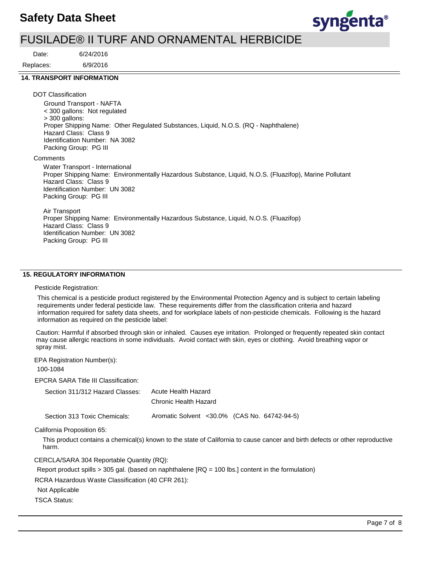

6/24/2016 Date:

6/9/2016 Replaces:

#### **14. TRANSPORT INFORMATION**

DOT Classification

Ground Transport - NAFTA < 300 gallons: Not regulated > 300 gallons: Proper Shipping Name: Other Regulated Substances, Liquid, N.O.S. (RQ - Naphthalene) Hazard Class: Class 9 Identification Number: NA 3082 Packing Group: PG III

**Comments** 

Water Transport - International Proper Shipping Name: Environmentally Hazardous Substance, Liquid, N.O.S. (Fluazifop), Marine Pollutant Hazard Class: Class 9 Identification Number: UN 3082 Packing Group: PG III

Air Transport Proper Shipping Name: Environmentally Hazardous Substance, Liquid, N.O.S. (Fluazifop) Hazard Class: Class 9 Identification Number: UN 3082 Packing Group: PG III

## **15. REGULATORY INFORMATION**

#### Pesticide Registration:

This chemical is a pesticide product registered by the Environmental Protection Agency and is subject to certain labeling requirements under federal pesticide law. These requirements differ from the classification criteria and hazard information required for safety data sheets, and for workplace labels of non-pesticide chemicals. Following is the hazard information as required on the pesticide label:

Caution: Harmful if absorbed through skin or inhaled. Causes eye irritation. Prolonged or frequently repeated skin contact may cause allergic reactions in some individuals. Avoid contact with skin, eyes or clothing. Avoid breathing vapor or spray mist.

EPA Registration Number(s):

100-1084

EPCRA SARA Title III Classification:

| Section 311/312 Hazard Classes: | Acute Health Hazard   |
|---------------------------------|-----------------------|
|                                 | Chronic Health Hazard |

Section 313 Toxic Chemicals: Aromatic Solvent <30.0% (CAS No. 64742-94-5)

#### California Proposition 65:

This product contains a chemical(s) known to the state of California to cause cancer and birth defects or other reproductive harm.

CERCLA/SARA 304 Reportable Quantity (RQ):

Report product spills > 305 gal. (based on naphthalene [RQ = 100 lbs.] content in the formulation)

RCRA Hazardous Waste Classification (40 CFR 261):

Not Applicable

TSCA Status: